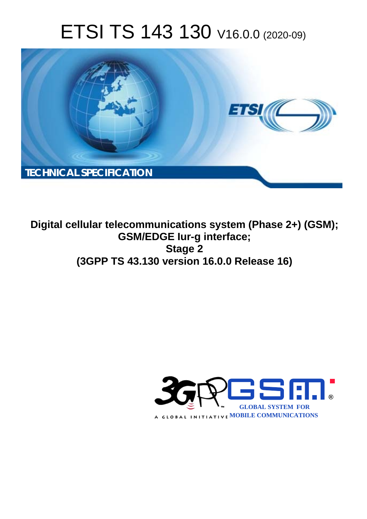# ETSI TS 143 130 V16.0.0 (2020-09)



**Digital cellular telecommunications system (Phase 2+) (GSM); GSM/EDGE Iur-g interface; Stage 2 (3GPP TS 43.130 version 16.0.0 Release 16)** 

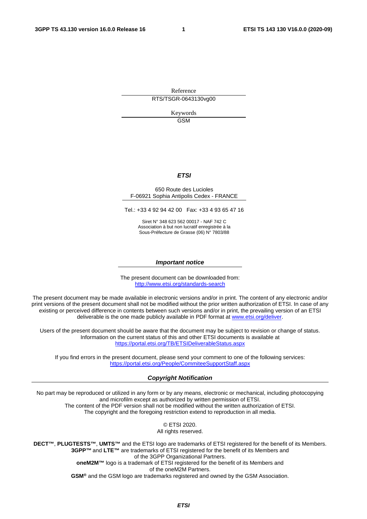Reference RTS/TSGR-0643130vg00

> Keywords GSM

#### *ETSI*

#### 650 Route des Lucioles F-06921 Sophia Antipolis Cedex - FRANCE

Tel.: +33 4 92 94 42 00 Fax: +33 4 93 65 47 16

Siret N° 348 623 562 00017 - NAF 742 C Association à but non lucratif enregistrée à la Sous-Préfecture de Grasse (06) N° 7803/88

#### *Important notice*

The present document can be downloaded from: <http://www.etsi.org/standards-search>

The present document may be made available in electronic versions and/or in print. The content of any electronic and/or print versions of the present document shall not be modified without the prior written authorization of ETSI. In case of any existing or perceived difference in contents between such versions and/or in print, the prevailing version of an ETSI deliverable is the one made publicly available in PDF format at [www.etsi.org/deliver](http://www.etsi.org/deliver).

Users of the present document should be aware that the document may be subject to revision or change of status. Information on the current status of this and other ETSI documents is available at <https://portal.etsi.org/TB/ETSIDeliverableStatus.aspx>

If you find errors in the present document, please send your comment to one of the following services: <https://portal.etsi.org/People/CommiteeSupportStaff.aspx>

#### *Copyright Notification*

No part may be reproduced or utilized in any form or by any means, electronic or mechanical, including photocopying and microfilm except as authorized by written permission of ETSI. The content of the PDF version shall not be modified without the written authorization of ETSI. The copyright and the foregoing restriction extend to reproduction in all media.

> © ETSI 2020. All rights reserved.

**DECT™**, **PLUGTESTS™**, **UMTS™** and the ETSI logo are trademarks of ETSI registered for the benefit of its Members. **3GPP™** and **LTE™** are trademarks of ETSI registered for the benefit of its Members and of the 3GPP Organizational Partners. **oneM2M™** logo is a trademark of ETSI registered for the benefit of its Members and of the oneM2M Partners. **GSM®** and the GSM logo are trademarks registered and owned by the GSM Association.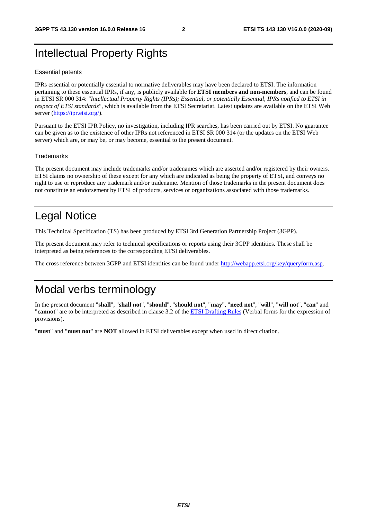# Intellectual Property Rights

#### Essential patents

IPRs essential or potentially essential to normative deliverables may have been declared to ETSI. The information pertaining to these essential IPRs, if any, is publicly available for **ETSI members and non-members**, and can be found in ETSI SR 000 314: *"Intellectual Property Rights (IPRs); Essential, or potentially Essential, IPRs notified to ETSI in respect of ETSI standards"*, which is available from the ETSI Secretariat. Latest updates are available on the ETSI Web server [\(https://ipr.etsi.org/](https://ipr.etsi.org/)).

Pursuant to the ETSI IPR Policy, no investigation, including IPR searches, has been carried out by ETSI. No guarantee can be given as to the existence of other IPRs not referenced in ETSI SR 000 314 (or the updates on the ETSI Web server) which are, or may be, or may become, essential to the present document.

#### **Trademarks**

The present document may include trademarks and/or tradenames which are asserted and/or registered by their owners. ETSI claims no ownership of these except for any which are indicated as being the property of ETSI, and conveys no right to use or reproduce any trademark and/or tradename. Mention of those trademarks in the present document does not constitute an endorsement by ETSI of products, services or organizations associated with those trademarks.

# Legal Notice

This Technical Specification (TS) has been produced by ETSI 3rd Generation Partnership Project (3GPP).

The present document may refer to technical specifications or reports using their 3GPP identities. These shall be interpreted as being references to the corresponding ETSI deliverables.

The cross reference between 3GPP and ETSI identities can be found under<http://webapp.etsi.org/key/queryform.asp>.

# Modal verbs terminology

In the present document "**shall**", "**shall not**", "**should**", "**should not**", "**may**", "**need not**", "**will**", "**will not**", "**can**" and "**cannot**" are to be interpreted as described in clause 3.2 of the [ETSI Drafting Rules](https://portal.etsi.org/Services/editHelp!/Howtostart/ETSIDraftingRules.aspx) (Verbal forms for the expression of provisions).

"**must**" and "**must not**" are **NOT** allowed in ETSI deliverables except when used in direct citation.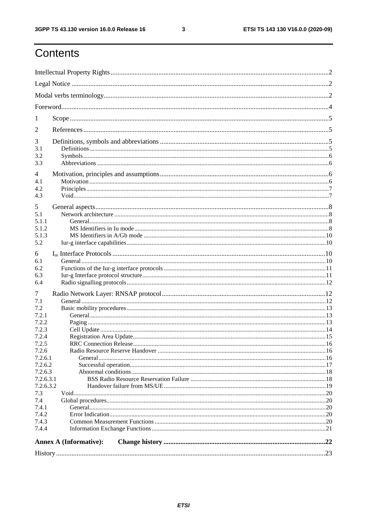$\mathbf{3}$ 

# Contents

| 1                                                                                                                                                       |  |  |  |  |  |
|---------------------------------------------------------------------------------------------------------------------------------------------------------|--|--|--|--|--|
| 2                                                                                                                                                       |  |  |  |  |  |
| 3<br>3.1<br>3.2<br>3.3                                                                                                                                  |  |  |  |  |  |
| 4<br>4.1<br>4.2<br>4.3                                                                                                                                  |  |  |  |  |  |
| 5<br>5.1<br>5.1.1<br>5.1.2<br>5.1.3<br>5.2                                                                                                              |  |  |  |  |  |
| 6<br>6.1<br>6.2<br>6.3<br>6.4                                                                                                                           |  |  |  |  |  |
| 7<br>7.1<br>7.2<br>7.2.1<br>7.2.2<br>7.2.3<br>7.2.4<br>7.2.5<br>7.2.6<br>7.2.6.1<br>7.2.6.2<br>7.2.6.3<br>7.2.6.3.1<br>7.2.6.3.2<br>7.3<br>7.4<br>7.4.1 |  |  |  |  |  |
| 7.4.2<br>7.4.3<br>7.4.4                                                                                                                                 |  |  |  |  |  |
| <b>Annex A (Informative):</b>                                                                                                                           |  |  |  |  |  |
|                                                                                                                                                         |  |  |  |  |  |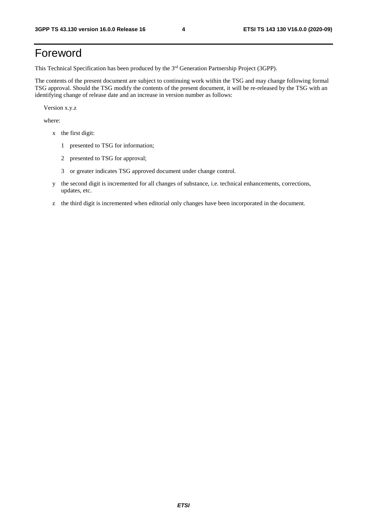# Foreword

This Technical Specification has been produced by the 3<sup>rd</sup> Generation Partnership Project (3GPP).

The contents of the present document are subject to continuing work within the TSG and may change following formal TSG approval. Should the TSG modify the contents of the present document, it will be re-released by the TSG with an identifying change of release date and an increase in version number as follows:

Version x.y.z

where:

- x the first digit:
	- 1 presented to TSG for information;
	- 2 presented to TSG for approval;
	- 3 or greater indicates TSG approved document under change control.
- y the second digit is incremented for all changes of substance, i.e. technical enhancements, corrections, updates, etc.
- z the third digit is incremented when editorial only changes have been incorporated in the document.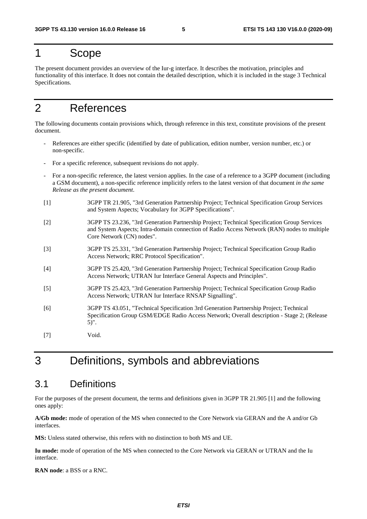# 1 Scope

The present document provides an overview of the Iur-g interface. It describes the motivation, principles and functionality of this interface. It does not contain the detailed description, which it is included in the stage 3 Technical Specifications.

# 2 References

The following documents contain provisions which, through reference in this text, constitute provisions of the present document.

- References are either specific (identified by date of publication, edition number, version number, etc.) or non-specific.
- For a specific reference, subsequent revisions do not apply.
- For a non-specific reference, the latest version applies. In the case of a reference to a 3GPP document (including a GSM document), a non-specific reference implicitly refers to the latest version of that document *in the same Release as the present document*.
- [1] 3GPP TR 21.905, "3rd Generation Partnership Project; Technical Specification Group Services and System Aspects; Vocabulary for 3GPP Specifications".
- [2] 3GPP TS 23.236, "3rd Generation Partnership Project; Technical Specification Group Services and System Aspects; Intra-domain connection of Radio Access Network (RAN) nodes to multiple Core Network (CN) nodes".
- [3] 3GPP TS 25.331, "3rd Generation Partnership Project; Technical Specification Group Radio Access Network; RRC Protocol Specification".
- [4] 3GPP TS 25.420, "3rd Generation Partnership Project; Technical Specification Group Radio Access Network; UTRAN Iur Interface General Aspects and Principles".
- [5] 3GPP TS 25.423, "3rd Generation Partnership Project; Technical Specification Group Radio Access Network; UTRAN Iur Interface RNSAP Signalling".
- [6] 3GPP TS 43.051, "Technical Specification 3rd Generation Partnership Project; Technical Specification Group GSM/EDGE Radio Access Network; Overall description - Stage 2; (Release 5)".
- [7] Void.

# 3 Definitions, symbols and abbreviations

### 3.1 Definitions

For the purposes of the present document, the terms and definitions given in 3GPP TR 21.905 [1] and the following ones apply:

**A/Gb mode:** mode of operation of the MS when connected to the Core Network via GERAN and the A and/or Gb interfaces.

**MS:** Unless stated otherwise, this refers with no distinction to both MS and UE.

Iu mode: mode of operation of the MS when connected to the Core Network via GERAN or UTRAN and the Iu interface.

**RAN node**: a BSS or a RNC.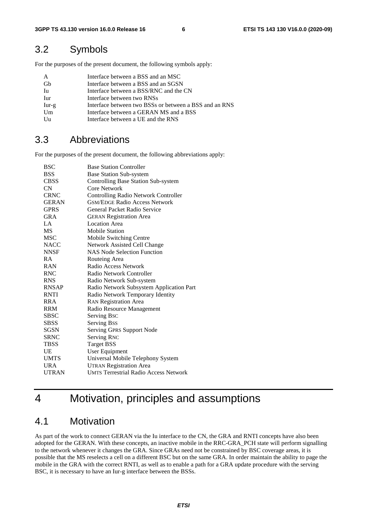# 3.2 Symbols

For the purposes of the present document, the following symbols apply:

| A       | Interface between a BSS and an MSC                     |
|---------|--------------------------------------------------------|
| Gh      | Interface between a BSS and an SGSN                    |
| Iu      | Interface between a BSS/RNC and the CN                 |
| Iur     | Interface between two RNSs                             |
| $Iur-g$ | Interface between two BSSs or between a BSS and an RNS |
| Um      | Interface between a GERAN MS and a BSS                 |
| Uu      | Interface between a UE and the RNS                     |

### 3.3 Abbreviations

For the purposes of the present document, the following abbreviations apply:

| <b>BSC</b>   | <b>Base Station Controller</b>               |
|--------------|----------------------------------------------|
| <b>BSS</b>   | <b>Base Station Sub-system</b>               |
| <b>CBSS</b>  | Controlling Base Station Sub-system          |
| CN           | Core Network                                 |
| <b>CRNC</b>  | <b>Controlling Radio Network Controller</b>  |
| <b>GERAN</b> | <b>GSM/EDGE Radio Access Network</b>         |
| <b>GPRS</b>  | General Packet Radio Service                 |
| <b>GRA</b>   | <b>GERAN Registration Area</b>               |
| LA           | <b>Location Area</b>                         |
| <b>MS</b>    | <b>Mobile Station</b>                        |
| <b>MSC</b>   | Mobile Switching Centre                      |
| <b>NACC</b>  | Network Assisted Cell Change                 |
| <b>NNSF</b>  | <b>NAS Node Selection Function</b>           |
| <b>RA</b>    | Routeing Area                                |
| <b>RAN</b>   | Radio Access Network                         |
| <b>RNC</b>   | Radio Network Controller                     |
| <b>RNS</b>   | Radio Network Sub-system                     |
| <b>RNSAP</b> | Radio Network Subsystem Application Part     |
| <b>RNTI</b>  | Radio Network Temporary Identity             |
| <b>RRA</b>   | <b>RAN Registration Area</b>                 |
| <b>RRM</b>   | Radio Resource Management                    |
| <b>SBSC</b>  | Serving Bsc                                  |
| <b>SBSS</b>  | <b>Serving Bss</b>                           |
| SGSN         | Serving GPRS Support Node                    |
| <b>SRNC</b>  | <b>Serving RNC</b>                           |
| <b>TBSS</b>  | <b>Target BSS</b>                            |
| <b>UE</b>    | User Equipment                               |
| <b>UMTS</b>  | Universal Mobile Telephony System            |
| <b>URA</b>   | <b>UTRAN Registration Area</b>               |
| <b>UTRAN</b> | <b>UMTS Terrestrial Radio Access Network</b> |

# 4 Motivation, principles and assumptions

### 4.1 Motivation

As part of the work to connect GERAN via the Iu interface to the CN, the GRA and RNTI concepts have also been adopted for the GERAN. With these concepts, an inactive mobile in the RRC-GRA\_PCH state will perform signalling to the network whenever it changes the GRA. Since GRAs need not be constrained by BSC coverage areas, it is possible that the MS reselects a cell on a different BSC but on the same GRA. In order maintain the ability to page the mobile in the GRA with the correct RNTI, as well as to enable a path for a GRA update procedure with the serving BSC, it is necessary to have an Iur-g interface between the BSSs.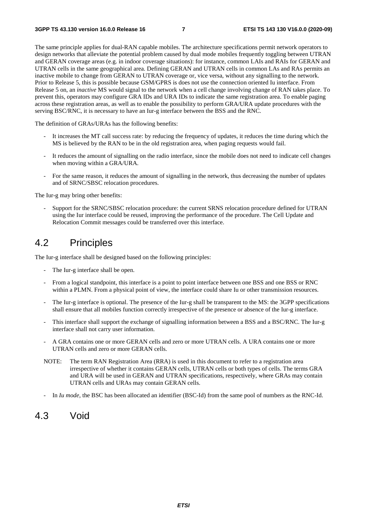The same principle applies for dual-RAN capable mobiles. The architecture specifications permit network operators to design networks that alleviate the potential problem caused by dual mode mobiles frequently toggling between UTRAN and GERAN coverage areas (e.g. in indoor coverage situations): for instance, common LAIs and RAIs for GERAN and UTRAN cells in the same geographical area. Defining GERAN and UTRAN cells in common LAs and RAs permits an inactive mobile to change from GERAN to UTRAN coverage or, vice versa, without any signalling to the network. Prior to Release 5, this is possible because GSM/GPRS is does not use the connection oriented Iu interface. From Release 5 on, an *inactive* MS would signal to the network when a cell change involving change of RAN takes place. To prevent this, operators may configure GRA IDs and URA IDs to indicate the same registration area. To enable paging across these registration areas, as well as to enable the possibility to perform GRA/URA update procedures with the serving BSC/RNC, it is necessary to have an Iur-g interface between the BSS and the RNC.

The definition of GRAs/URAs has the following benefits:

- It increases the MT call success rate: by reducing the frequency of updates, it reduces the time during which the MS is believed by the RAN to be in the old registration area, when paging requests would fail.
- It reduces the amount of signalling on the radio interface, since the mobile does not need to indicate cell changes when moving within a GRA/URA.
- For the same reason, it reduces the amount of signalling in the network, thus decreasing the number of updates and of SRNC/SBSC relocation procedures.

The Iur-g may bring other benefits:

- Support for the SRNC/SBSC relocation procedure: the current SRNS relocation procedure defined for UTRAN using the Iur interface could be reused, improving the performance of the procedure. The Cell Update and Relocation Commit messages could be transferred over this interface.

# 4.2 Principles

The Iur-g interface shall be designed based on the following principles:

- The Iur-g interface shall be open.
- From a logical standpoint, this interface is a point to point interface between one BSS and one BSS or RNC within a PLMN. From a physical point of view, the interface could share Iu or other transmission resources.
- The Iur-g interface is optional. The presence of the Iur-g shall be transparent to the MS: the 3GPP specifications shall ensure that all mobiles function correctly irrespective of the presence or absence of the Iur-g interface.
- This interface shall support the exchange of signalling information between a BSS and a BSC/RNC. The Iur-g interface shall not carry user information.
- A GRA contains one or more GERAN cells and zero or more UTRAN cells. A URA contains one or more UTRAN cells and zero or more GERAN cells.
- NOTE: The term RAN Registration Area (RRA) is used in this document to refer to a registration area irrespective of whether it contains GERAN cells, UTRAN cells or both types of cells. The terms GRA and URA will be used in GERAN and UTRAN specifications, respectively, where GRAs may contain UTRAN cells and URAs may contain GERAN cells.
- In *Iu mode*, the BSC has been allocated an identifier (BSC-Id) from the same pool of numbers as the RNC-Id.

### 4.3 Void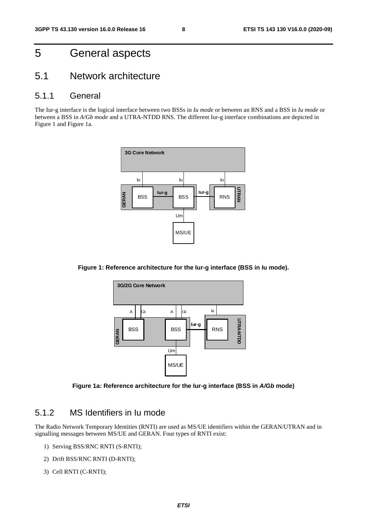# 5 General aspects

### 5.1 Network architecture

### 5.1.1 General

The Iur-g interface is the logical interface between two BSSs in *Iu mode* or between an RNS and a BSS in *Iu mode* or between a BSS in *A/Gb mode* and a UTRA-NTDD RNS. The different Iur-g interface combinations are depicted in Figure 1 and Figure 1a.



**Figure 1: Reference architecture for the Iur-g interface (BSS in Iu mode).** 



**Figure 1a: Reference architecture for the Iur-g interface (BSS in** *A/Gb* **mode)** 

### 5.1.2 MS Identifiers in Iu mode

The Radio Network Temporary Identities (RNTI) are used as MS/UE identifiers within the GERAN/UTRAN and in signalling messages between MS/UE and GERAN. Four types of RNTI exist:

- 1) Serving BSS/RNC RNTI (S-RNTI);
- 2) Drift BSS/RNC RNTI (D-RNTI);
- 3) Cell RNTI (C-RNTI);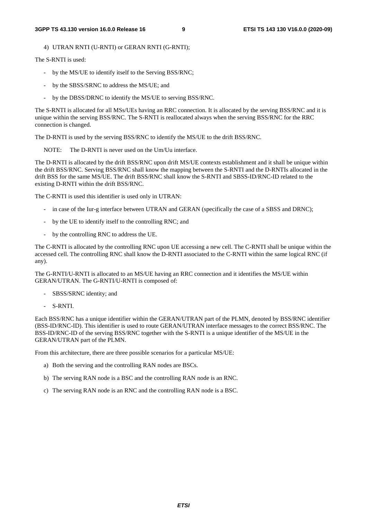4) UTRAN RNTI (U-RNTI) or GERAN RNTI (G-RNTI);

The S-RNTI is used:

- by the MS/UE to identify itself to the Serving BSS/RNC;
- by the SBSS/SRNC to address the MS/UE; and
- by the DBSS/DRNC to identify the MS/UE to serving BSS/RNC.

The S-RNTI is allocated for all MSs/UEs having an RRC connection. It is allocated by the serving BSS/RNC and it is unique within the serving BSS/RNC. The S-RNTI is reallocated always when the serving BSS/RNC for the RRC connection is changed.

The D-RNTI is used by the serving BSS/RNC to identify the MS/UE to the drift BSS/RNC.

NOTE: The D-RNTI is never used on the Um/Uu interface.

The D-RNTI is allocated by the drift BSS/RNC upon drift MS/UE contexts establishment and it shall be unique within the drift BSS/RNC. Serving BSS/RNC shall know the mapping between the S-RNTI and the D-RNTIs allocated in the drift BSS for the same MS/UE. The drift BSS/RNC shall know the S-RNTI and SBSS-ID/RNC-ID related to the existing D-RNTI within the drift BSS/RNC.

The C-RNTI is used this identifier is used only in UTRAN:

- in case of the Iur-g interface between UTRAN and GERAN (specifically the case of a SBSS and DRNC);
- by the UE to identify itself to the controlling RNC; and
- by the controlling RNC to address the UE.

The C-RNTI is allocated by the controlling RNC upon UE accessing a new cell. The C-RNTI shall be unique within the accessed cell. The controlling RNC shall know the D-RNTI associated to the C-RNTI within the same logical RNC (if any).

The G-RNTI/U-RNTI is allocated to an MS/UE having an RRC connection and it identifies the MS/UE within GERAN/UTRAN. The G-RNTI/U-RNTI is composed of:

- SBSS/SRNC identity; and
- S-RNTI.

Each BSS/RNC has a unique identifier within the GERAN/UTRAN part of the PLMN, denoted by BSS/RNC identifier (BSS-ID/RNC-ID). This identifier is used to route GERAN/UTRAN interface messages to the correct BSS/RNC. The BSS-ID/RNC-ID of the serving BSS/RNC together with the S-RNTI is a unique identifier of the MS/UE in the GERAN/UTRAN part of the PLMN.

From this architecture, there are three possible scenarios for a particular MS/UE:

- a) Both the serving and the controlling RAN nodes are BSCs.
- b) The serving RAN node is a BSC and the controlling RAN node is an RNC.
- c) The serving RAN node is an RNC and the controlling RAN node is a BSC.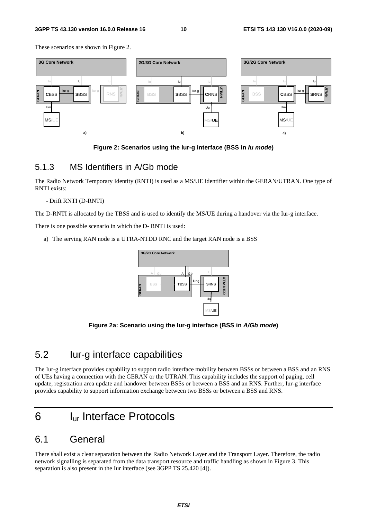These scenarios are shown in Figure 2.



**Figure 2: Scenarios using the Iur-g interface (BSS in** *Iu mode***)** 

### 5.1.3 MS Identifiers in A/Gb mode

The Radio Network Temporary Identity (RNTI) is used as a MS/UE identifier within the GERAN/UTRAN. One type of RNTI exists:

#### - Drift RNTI (D-RNTI)

The D-RNTI is allocated by the TBSS and is used to identify the MS/UE during a handover via the Iur-g interface.

There is one possible scenario in which the D- RNTI is used:

a) The serving RAN node is a UTRA-NTDD RNC and the target RAN node is a BSS



**Figure 2a: Scenario using the Iur-g interface (BSS in** *A/Gb mode***)** 

# 5.2 Iur-g interface capabilities

The Iur-g interface provides capability to support radio interface mobility between BSSs or between a BSS and an RNS of UEs having a connection with the GERAN or the UTRAN. This capability includes the support of paging, cell update, registration area update and handover between BSSs or between a BSS and an RNS. Further, Iur-g interface provides capability to support information exchange between two BSSs or between a BSS and RNS.

# 6 Iur Interface Protocols

### 6.1 General

There shall exist a clear separation between the Radio Network Layer and the Transport Layer. Therefore, the radio network signalling is separated from the data transport resource and traffic handling as shown in Figure 3. This separation is also present in the Iur interface (see 3GPP TS 25.420 [4]).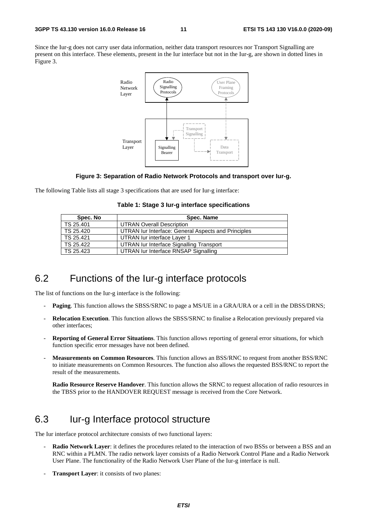Since the Iur-g does not carry user data information, neither data transport resources nor Transport Signalling are present on this interface. These elements, present in the Iur interface but not in the Iur-g, are shown in dotted lines in Figure 3.



#### **Figure 3: Separation of Radio Network Protocols and transport over Iur-g.**

The following Table lists all stage 3 specifications that are used for Iur-g interface:

|  |  |  | Table 1: Stage 3 lur-g interface specifications |
|--|--|--|-------------------------------------------------|
|--|--|--|-------------------------------------------------|

| Spec. No  | Spec. Name                                          |
|-----------|-----------------------------------------------------|
| TS 25.401 | <b>UTRAN Overall Description</b>                    |
| TS 25.420 | UTRAN Iur Interface: General Aspects and Principles |
| TS 25.421 | UTRAN lur interface Laver 1                         |
| TS 25.422 | UTRAN Iur Interface Signalling Transport            |
| TS 25.423 | UTRAN lur Interface RNSAP Signalling                |

### 6.2 Functions of the Iur-g interface protocols

The list of functions on the Iur-g interface is the following:

- **Paging**. This function allows the SBSS/SRNC to page a MS/UE in a GRA/URA or a cell in the DBSS/DRNS;
- **Relocation Execution**. This function allows the SBSS/SRNC to finalise a Relocation previously prepared via other interfaces;
- **Reporting of General Error Situations**. This function allows reporting of general error situations, for which function specific error messages have not been defined.
- **Measurements on Common Resources**. This function allows an BSS/RNC to request from another BSS/RNC to initiate measurements on Common Resources. The function also allows the requested BSS/RNC to report the result of the measurements.

**Radio Resource Reserve Handover**. This function allows the SRNC to request allocation of radio resources in the TBSS prior to the HANDOVER REQUEST message is received from the Core Network.

# 6.3 Iur-g Interface protocol structure

The Iur interface protocol architecture consists of two functional layers:

- **Radio Network Layer**: it defines the procedures related to the interaction of two BSSs or between a BSS and an RNC within a PLMN. The radio network layer consists of a Radio Network Control Plane and a Radio Network User Plane. The functionality of the Radio Network User Plane of the Iur-g interface is null.
- **Transport Layer:** it consists of two planes: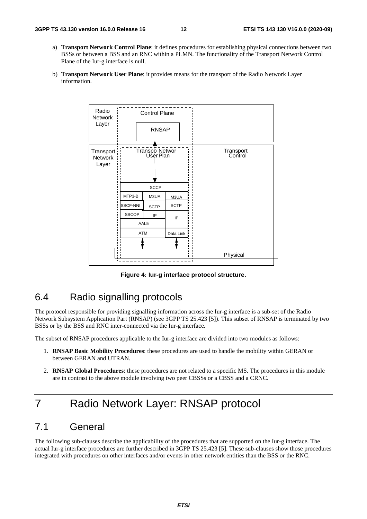- a) **Transport Network Control Plane**: it defines procedures for establishing physical connections between two BSSs or between a BSS and an RNC within a PLMN. The functionality of the Transport Network Control Plane of the Iur-g interface is null.
- b) **Transport Network User Plane**: it provides means for the transport of the Radio Network Layer information.



**Figure 4: Iur-g interface protocol structure.** 

# 6.4 Radio signalling protocols

The protocol responsible for providing signalling information across the Iur-g interface is a sub-set of the Radio Network Subsystem Application Part (RNSAP) (see 3GPP TS 25.423 [5]). This subset of RNSAP is terminated by two BSSs or by the BSS and RNC inter-connected via the Iur-g interface.

The subset of RNSAP procedures applicable to the Iur-g interface are divided into two modules as follows:

- 1. **RNSAP Basic Mobility Procedures**: these procedures are used to handle the mobility within GERAN or between GERAN and UTRAN.
- 2. **RNSAP Global Procedures**: these procedures are not related to a specific MS. The procedures in this module are in contrast to the above module involving two peer CBSSs or a CBSS and a CRNC.

# 7 Radio Network Layer: RNSAP protocol

# 7.1 General

The following sub-clauses describe the applicability of the procedures that are supported on the Iur-g interface. The actual Iur-g interface procedures are further described in 3GPP TS 25.423 [5]. These sub-clauses show those procedures integrated with procedures on other interfaces and/or events in other network entities than the BSS or the RNC.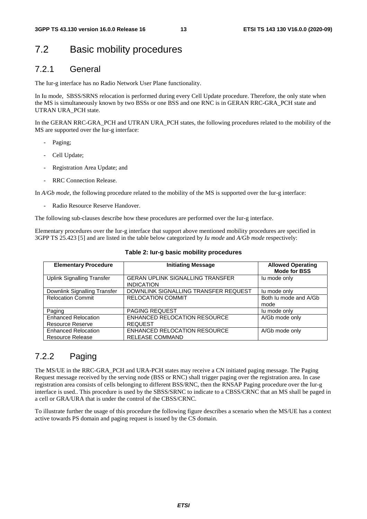# 7.2 Basic mobility procedures

### 7.2.1 General

The Iur-g interface has no Radio Network User Plane functionality.

In Iu mode, SBSS/SRNS relocation is performed during every Cell Update procedure. Therefore, the only state when the MS is simultaneously known by two BSSs or one BSS and one RNC is in GERAN RRC-GRA\_PCH state and UTRAN URA\_PCH state.

In the GERAN RRC-GRA\_PCH and UTRAN URA\_PCH states, the following procedures related to the mobility of the MS are supported over the Iur-g interface:

- Paging;
- Cell Update;
- Registration Area Update; and
- RRC Connection Release.

In *A/Gb mode*, the following procedure related to the mobility of the MS is supported over the Iur-g interface:

Radio Resource Reserve Handover.

The following sub-clauses describe how these procedures are performed over the Iur-g interface.

Elementary procedures over the Iur-g interface that support above mentioned mobility procedures are specified in 3GPP TS 25.423 [5] and are listed in the table below categorized by *Iu mode* and *A/Gb mode* respectively:

| <b>Elementary Procedure</b>                           | <b>Initiating Message</b>                                     | <b>Allowed Operating</b><br><b>Mode for BSS</b> |
|-------------------------------------------------------|---------------------------------------------------------------|-------------------------------------------------|
| Uplink Signalling Transfer                            | <b>GERAN UPLINK SIGNALLING TRANSFER</b><br><b>INDICATION</b>  | lu mode only                                    |
| Downlink Signalling Transfer                          | DOWNLINK SIGNALLING TRANSFER REQUEST                          | lu mode only                                    |
| <b>Relocation Commit</b>                              | <b>RELOCATION COMMIT</b>                                      | Both Iu mode and A/Gb<br>mode                   |
| Paging                                                | PAGING REQUEST                                                | lu mode only                                    |
| <b>Enhanced Relocation</b>                            | ENHANCED RELOCATION RESOURCE                                  | A/Gb mode only                                  |
| Resource Reserve                                      | <b>REQUEST</b>                                                |                                                 |
| <b>Enhanced Relocation</b><br><b>Resource Release</b> | <b>ENHANCED RELOCATION RESOURCE</b><br><b>RELEASE COMMAND</b> | A/Gb mode only                                  |

#### **Table 2: Iur-g basic mobility procedures**

### 7.2.2 Paging

The MS/UE in the RRC-GRA\_PCH and URA-PCH states may receive a CN initiated paging message. The Paging Request message received by the serving node (BSS or RNC) shall trigger paging over the registration area. In case registration area consists of cells belonging to different BSS/RNC, then the RNSAP Paging procedure over the Iur-g interface is used.. This procedure is used by the SBSS/SRNC to indicate to a CBSS/CRNC that an MS shall be paged in a cell or GRA/URA that is under the control of the CBSS/CRNC.

To illustrate further the usage of this procedure the following figure describes a scenario when the MS/UE has a context active towards PS domain and paging request is issued by the CS domain.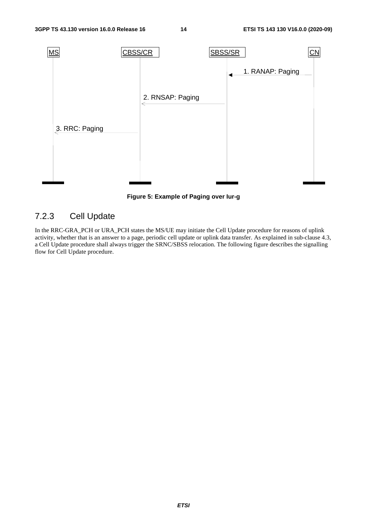

**Figure 5: Example of Paging over Iur-g** 

# 7.2.3 Cell Update

In the RRC-GRA\_PCH or URA\_PCH states the MS/UE may initiate the Cell Update procedure for reasons of uplink activity, whether that is an answer to a page, periodic cell update or uplink data transfer. As explained in sub-clause 4.3, a Cell Update procedure shall always trigger the SRNC/SBSS relocation. The following figure describes the signalling flow for Cell Update procedure.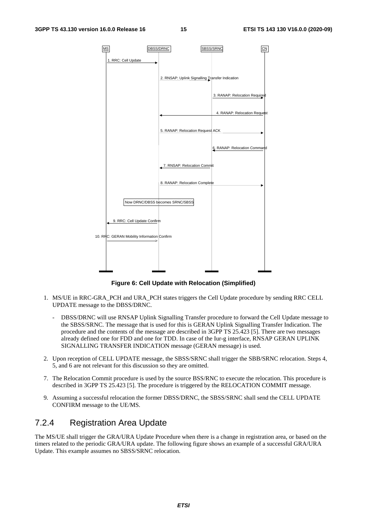

**Figure 6: Cell Update with Relocation (Simplified)** 

- 1. MS/UE in RRC-GRA\_PCH and URA\_PCH states triggers the Cell Update procedure by sending RRC CELL UPDATE message to the DBSS/DRNC.
	- DBSS/DRNC will use RNSAP Uplink Signalling Transfer procedure to forward the Cell Update message to the SBSS/SRNC. The message that is used for this is GERAN Uplink Signalling Transfer Indication. The procedure and the contents of the message are described in 3GPP TS 25.423 [5]. There are two messages already defined one for FDD and one for TDD. In case of the Iur-g interface, RNSAP GERAN UPLINK SIGNALLING TRANSFER INDICATION message (GERAN message) is used.
- 2. Upon reception of CELL UPDATE message, the SBSS/SRNC shall trigger the SBB/SRNC relocation. Steps 4, 5, and 6 are not relevant for this discussion so they are omitted.
- 7. The Relocation Commit procedure is used by the source BSS/RNC to execute the relocation. This procedure is described in 3GPP TS 25.423 [5]. The procedure is triggered by the RELOCATION COMMIT message.
- 9. Assuming a successful relocation the former DBSS/DRNC, the SBSS/SRNC shall send the CELL UPDATE CONFIRM message to the UE/MS.

### 7.2.4 Registration Area Update

The MS/UE shall trigger the GRA/URA Update Procedure when there is a change in registration area, or based on the timers related to the periodic GRA/URA update. The following figure shows an example of a successful GRA/URA Update. This example assumes no SBSS/SRNC relocation.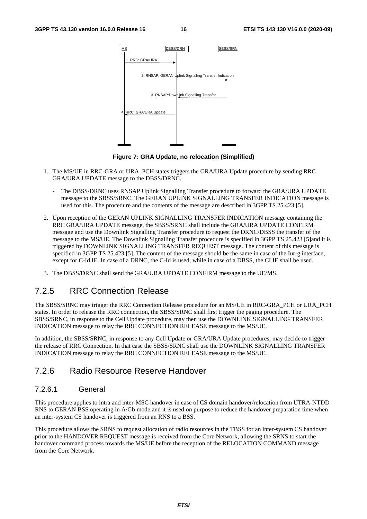

**Figure 7: GRA Update, no relocation (Simplified)** 

- 1. The MS/UE in RRC-GRA or URA\_PCH states triggers the GRA/URA Update procedure by sending RRC GRA/URA UPDATE message to the DBSS/DRNC.
	- The DBSS/DRNC uses RNSAP Uplink Signalling Transfer procedure to forward the GRA/URA UPDATE message to the SBSS/SRNC. The GERAN UPLINK SIGNALLING TRANSFER INDICATION message is used for this. The procedure and the contents of the message are described in 3GPP TS 25.423 [5].
- 2. Upon reception of the GERAN UPLINK SIGNALLING TRANSFER INDICATION message containing the RRC GRA/URA UPDATE message, the SBSS/SRNC shall include the GRA/URA UPDATE CONFIRM message and use the Downlink Signalling Transfer procedure to request the DRNC/DBSS the transfer of the message to the MS/UE. The Downlink Signalling Transfer procedure is specified in 3GPP TS 25.423 [5]and it is triggered by DOWNLINK SIGNALLING TRANSFER REQUEST message. The content of this message is specified in 3GPP TS 25.423 [5]. The content of the message should be the same in case of the Iur-g interface, except for C-Id IE. In case of a DRNC, the C-Id is used, while in case of a DBSS, the CI IE shall be used.
- 3. The DBSS/DRNC shall send the GRA/URA UPDATE CONFIRM message to the UE/MS.

### 7.2.5 RRC Connection Release

The SBSS/SRNC may trigger the RRC Connection Release procedure for an MS/UE in RRC-GRA\_PCH or URA\_PCH states. In order to release the RRC connection, the SBSS/SRNC shall first trigger the paging procedure. The SBSS/SRNC, in response to the Cell Update procedure, may then use the DOWNLINK SIGNALLING TRANSFER INDICATION message to relay the RRC CONNECTION RELEASE message to the MS/UE.

In addition, the SBSS/SRNC, in response to any Cell Update or GRA/URA Update procedures, may decide to trigger the release of RRC Connection. In that case the SBSS/SRNC shall use the DOWNLINK SIGNALLING TRANSFER INDICATION message to relay the RRC CONNECTION RELEASE message to the MS/UE.

### 7.2.6 Radio Resource Reserve Handover

#### 7.2.6.1 General

This procedure applies to intra and inter-MSC handover in case of CS domain handover/relocation from UTRA-NTDD RNS to GERAN BSS operating in A/Gb mode and it is used on purpose to reduce the handover preparation time when an inter-system CS handover is triggered from an RNS to a BSS.

This procedure allows the SRNS to request allocation of radio resources in the TBSS for an inter-system CS handover prior to the HANDOVER REQUEST message is received from the Core Network, allowing the SRNS to start the handover command process towards the MS/UE before the reception of the RELOCATION COMMAND message from the Core Network.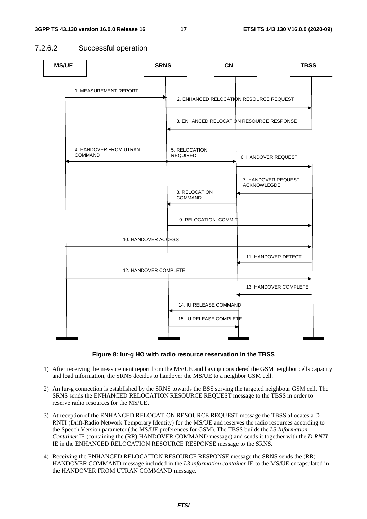### 7.2.6.2 Successful operation





- 1) After receiving the measurement report from the MS/UE and having considered the GSM neighbor cells capacity and load information, the SRNS decides to handover the MS/UE to a neighbor GSM cell.
- 2) An Iur-g connection is established by the SRNS towards the BSS serving the targeted neighbour GSM cell. The SRNS sends the ENHANCED RELOCATION RESOURCE REQUEST message to the TBSS in order to reserve radio resources for the MS/UE.
- 3) At reception of the ENHANCED RELOCATION RESOURCE REQUEST message the TBSS allocates a D-RNTI (Drift-Radio Network Temporary Identity) for the MS/UE and reserves the radio resources according to the Speech Version parameter (the MS/UE preferences for GSM). The TBSS builds the *L3 Information Container* IE (containing the (RR) HANDOVER COMMAND message) and sends it together with the *D-RNTI* IE in the ENHANCED RELOCATION RESOURCE RESPONSE message to the SRNS.
- 4) Receiving the ENHANCED RELOCATION RESOURCE RESPONSE message the SRNS sends the (RR) HANDOVER COMMAND message included in the *L3 information container* IE to the MS/UE encapsulated in the HANDOVER FROM UTRAN COMMAND message.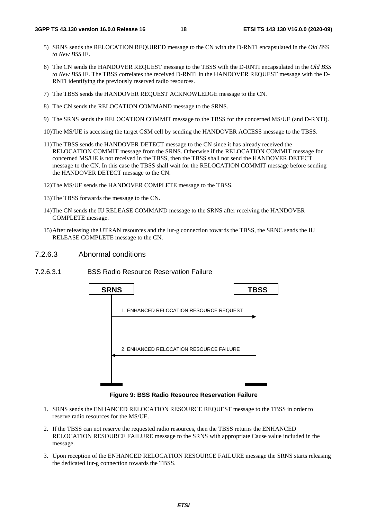- 5) SRNS sends the RELOCATION REQUIRED message to the CN with the D-RNTI encapsulated in the *Old BSS to New BSS* IE.
- 6) The CN sends the HANDOVER REQUEST message to the TBSS with the D-RNTI encapsulated in the *Old BSS to New BSS* IE. The TBSS correlates the received D-RNTI in the HANDOVER REQUEST message with the D-RNTI identifying the previously reserved radio resources.
- 7) The TBSS sends the HANDOVER REQUEST ACKNOWLEDGE message to the CN.
- 8) The CN sends the RELOCATION COMMAND message to the SRNS.
- 9) The SRNS sends the RELOCATION COMMIT message to the TBSS for the concerned MS/UE (and D-RNTI).
- 10) The MS/UE is accessing the target GSM cell by sending the HANDOVER ACCESS message to the TBSS.
- 11) The TBSS sends the HANDOVER DETECT message to the CN since it has already received the RELOCATION COMMIT message from the SRNS. Otherwise if the RELOCATION COMMIT message for concerned MS/UE is not received in the TBSS, then the TBSS shall not send the HANDOVER DETECT message to the CN. In this case the TBSS shall wait for the RELOCATION COMMIT message before sending the HANDOVER DETECT message to the CN.
- 12) The MS/UE sends the HANDOVER COMPLETE message to the TBSS.
- 13) The TBSS forwards the message to the CN.
- 14) The CN sends the IU RELEASE COMMAND message to the SRNS after receiving the HANDOVER COMPLETE message.
- 15) After releasing the UTRAN resources and the Iur-g connection towards the TBSS, the SRNC sends the IU RELEASE COMPLETE message to the CN.
- 7.2.6.3 Abnormal conditions
- 7.2.6.3.1 BSS Radio Resource Reservation Failure



**Figure 9: BSS Radio Resource Reservation Failure** 

- 1. SRNS sends the ENHANCED RELOCATION RESOURCE REQUEST message to the TBSS in order to reserve radio resources for the MS/UE.
- 2. If the TBSS can not reserve the requested radio resources, then the TBSS returns the ENHANCED RELOCATION RESOURCE FAILURE message to the SRNS with appropriate Cause value included in the message.
- 3. Upon reception of the ENHANCED RELOCATION RESOURCE FAILURE message the SRNS starts releasing the dedicated Iur-g connection towards the TBSS.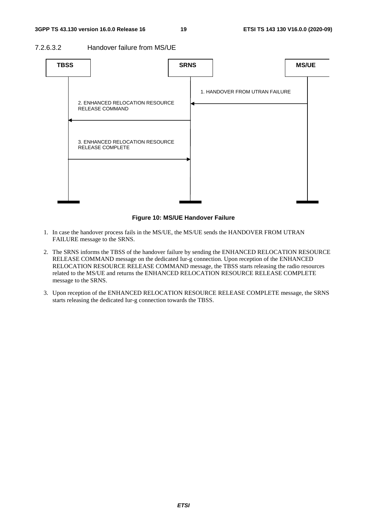#### 7.2.6.3.2 Handover failure from MS/UE



#### **Figure 10: MS/UE Handover Failure**

- 1. In case the handover process fails in the MS/UE, the MS/UE sends the HANDOVER FROM UTRAN FAILURE message to the SRNS.
- 2. The SRNS informs the TBSS of the handover failure by sending the ENHANCED RELOCATION RESOURCE RELEASE COMMAND message on the dedicated Iur-g connection. Upon reception of the ENHANCED RELOCATION RESOURCE RELEASE COMMAND message, the TBSS starts releasing the radio resources related to the MS/UE and returns the ENHANCED RELOCATION RESOURCE RELEASE COMPLETE message to the SRNS.
- 3. Upon reception of the ENHANCED RELOCATION RESOURCE RELEASE COMPLETE message, the SRNS starts releasing the dedicated Iur-g connection towards the TBSS.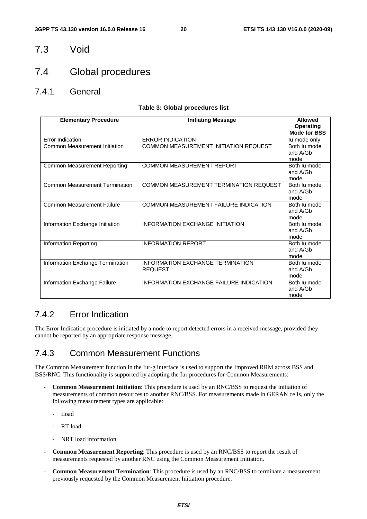### 7.3 Void

### 7.4 Global procedures

7.4.1 General

#### **Table 3: Global procedures list**

| <b>Elementary Procedure</b>           | <b>Initiating Message</b>                          | <b>Allowed</b>                          |
|---------------------------------------|----------------------------------------------------|-----------------------------------------|
|                                       |                                                    | <b>Operating</b><br><b>Mode for BSS</b> |
| Error Indication                      | <b>ERROR INDICATION</b>                            | lu mode only                            |
| Common Measurement Initiation         | COMMON MEASUREMENT INITIATION REQUEST              | Both lu mode<br>and A/Gb<br>mode        |
| Common Measurement Reporting          | <b>COMMON MEASUREMENT REPORT</b>                   | Both lu mode<br>and A/Gb<br>mode        |
| <b>Common Measurement Termination</b> | COMMON MEASUREMENT TERMINATION REQUEST             | Both lu mode<br>and A/Gb<br>mode        |
| <b>Common Measurement Failure</b>     | <b>COMMON MEASUREMENT FAILURE INDICATION</b>       | Both lu mode<br>and A/Gb<br>mode        |
| Information Exchange Initiation       | <b>INFORMATION EXCHANGE INITIATION</b>             | Both lu mode<br>and A/Gb<br>mode        |
| <b>Information Reporting</b>          | <b>INFORMATION REPORT</b>                          | Both lu mode<br>and A/Gb<br>mode        |
| Information Exchange Termination      | INFORMATION EXCHANGE TERMINATION<br><b>REQUEST</b> | Both lu mode<br>and A/Gb<br>mode        |
| Information Exchange Failure          | <b>INFORMATION EXCHANGE FAILURE INDICATION</b>     | Both lu mode<br>and A/Gb<br>mode        |

### 7.4.2 Error Indication

The Error Indication procedure is initiated by a node to report detected errors in a received message, provided they cannot be reported by an appropriate response message.

### 7.4.3 Common Measurement Functions

The Common Measurement function in the Iur-g interface is used to support the Improved RRM across BSS and BSS/RNC. This functionality is supported by adopting the Iur procedures for Common Measurements:

- **Common Measurement Initiation**: This procedure is used by an RNC/BSS to request the initiation of measurements of common resources to another RNC/BSS. For measurements made in GERAN cells, only the following measurement types are applicable:
	- Load
	- RT load
	- NRT load information
- **Common Measurement Reporting**: This procedure is used by an RNC/BSS to report the result of measurements requested by another RNC using the Common Measurement Initiation.
- **Common Measurement Termination**: This procedure is used by an RNC/BSS to terminate a measurement previously requested by the Common Measurement Initiation procedure.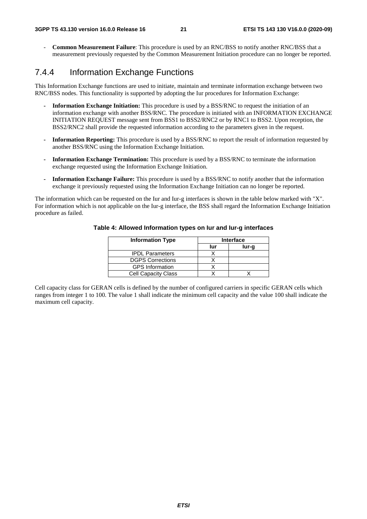- **Common Measurement Failure**: This procedure is used by an RNC/BSS to notify another RNC/BSS that a measurement previously requested by the Common Measurement Initiation procedure can no longer be reported.

### 7.4.4 Information Exchange Functions

This Information Exchange functions are used to initiate, maintain and terminate information exchange between two RNC/BSS nodes. This functionality is supported by adopting the Iur procedures for Information Exchange:

- **Information Exchange Initiation:** This procedure is used by a BSS/RNC to request the initiation of an information exchange with another BSS/RNC. The procedure is initiated with an INFORMATION EXCHANGE INITIATION REQUEST message sent from BSS1 to BSS2/RNC2 or by RNC1 to BSS2. Upon reception, the BSS2/RNC2 shall provide the requested information according to the parameters given in the request.
- **Information Reporting:** This procedure is used by a BSS/RNC to report the result of information requested by another BSS/RNC using the Information Exchange Initiation.
- **Information Exchange Termination:** This procedure is used by a BSS/RNC to terminate the information exchange requested using the Information Exchange Initiation.
- **Information Exchange Failure:** This procedure is used by a BSS/RNC to notify another that the information exchange it previously requested using the Information Exchange Initiation can no longer be reported.

The information which can be requested on the Iur and Iur-g interfaces is shown in the table below marked with "X". For information which is not applicable on the Iur-g interface, the BSS shall regard the Information Exchange Initiation procedure as failed.

| <b>Information Type</b>    | <b>Interface</b> |       |  |
|----------------------------|------------------|-------|--|
|                            | lur              | lur-g |  |
| <b>IPDL Parameters</b>     |                  |       |  |
| <b>DGPS Corrections</b>    |                  |       |  |
| <b>GPS</b> Information     |                  |       |  |
| <b>Cell Capacity Class</b> |                  |       |  |

#### **Table 4: Allowed Information types on Iur and Iur-g interfaces**

Cell capacity class for GERAN cells is defined by the number of configured carriers in specific GERAN cells which ranges from integer 1 to 100. The value 1 shall indicate the minimum cell capacity and the value 100 shall indicate the maximum cell capacity.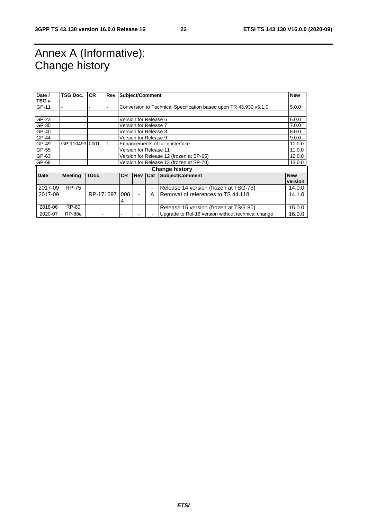# Annex A (Informative): Change history

| Date /<br>TSG# | <b>TSG Doc.</b>       | <b>CR</b>   | Rev | <b>Subject/Comment</b> |                                          |                          |                                                                   | <b>New</b>            |
|----------------|-----------------------|-------------|-----|------------------------|------------------------------------------|--------------------------|-------------------------------------------------------------------|-----------------------|
| GP-11          |                       |             |     |                        |                                          |                          | Conversion to Technical Specification based upon TR 43.930 v5.1.0 | 5.0.0                 |
|                |                       |             |     |                        |                                          |                          |                                                                   |                       |
| GP-23          |                       |             |     |                        | Version for Release 6                    |                          |                                                                   | 6.0.0                 |
| GP-35          |                       |             |     |                        |                                          | Version for Release 7    |                                                                   | 7.0.0                 |
| GP-40          |                       |             |     |                        |                                          | Version for Release 8    |                                                                   | 8.0.0                 |
| GP-44          |                       |             |     |                        |                                          | Version for Release 9    |                                                                   | 9.0.0                 |
| GP-49          | GP-11049310001        |             |     |                        |                                          |                          | Enhancements of lur-g interface                                   | 10.0.0                |
| GP-55          |                       |             |     |                        | Version for Release 11                   |                          | 11.0.0                                                            |                       |
| GP-63          |                       |             |     |                        | Version for Release 12 (frozen at SP-65) |                          | 12.0.0                                                            |                       |
| GP-68          |                       |             |     |                        |                                          |                          | Version for Release 13 (frozen at SP-70)                          | 13.0.0                |
|                | <b>Change history</b> |             |     |                        |                                          |                          |                                                                   |                       |
| <b>Date</b>    | <b>Meeting</b>        | <b>TDoc</b> |     | <b>CR</b>              |                                          |                          | <b>Rev Cat Subject/Comment</b>                                    | <b>New</b><br>version |
| 2017-09        | <b>RP-75</b>          |             |     |                        |                                          | ٠                        | Release 14 version (frozen at TSG-75)                             | 14.0.0                |
| 2017-09        |                       | RP-171597   |     | 000                    |                                          | A                        | Removal of references to TS 44.118                                | 14.1.0                |
|                |                       |             |     | 4                      |                                          |                          |                                                                   |                       |
| 2018-06        | <b>RP-80</b>          |             |     |                        |                                          |                          | Release 15 version (frozen at TSG-80)                             | 15.0.0                |
| 2020-07        | <b>RP-88e</b>         |             |     |                        |                                          | $\overline{\phantom{a}}$ | Upgrade to Rel-16 version without technical change                | 16.0.0                |